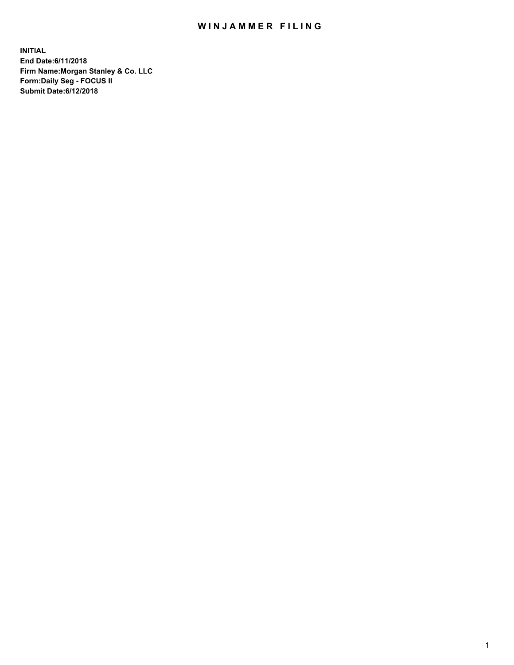## WIN JAMMER FILING

**INITIAL End Date:6/11/2018 Firm Name:Morgan Stanley & Co. LLC Form:Daily Seg - FOCUS II Submit Date:6/12/2018**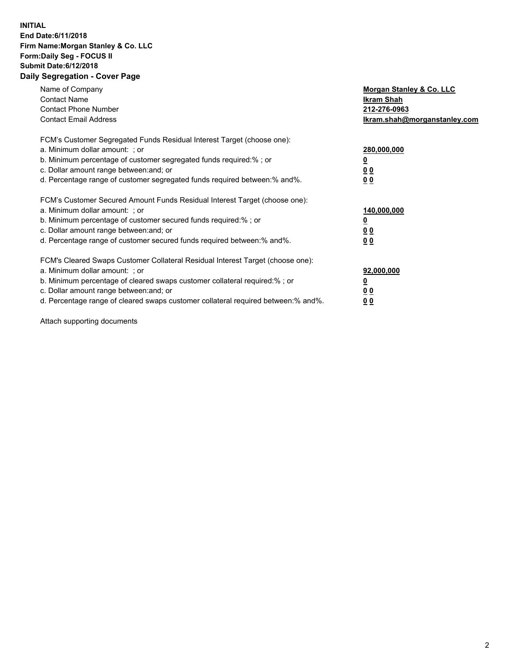## **INITIAL End Date:6/11/2018 Firm Name:Morgan Stanley & Co. LLC Form:Daily Seg - FOCUS II Submit Date:6/12/2018 Daily Segregation - Cover Page**

| Name of Company<br><b>Contact Name</b><br><b>Contact Phone Number</b><br><b>Contact Email Address</b>                                                                                                                                                                                                                         | Morgan Stanley & Co. LLC<br>Ikram Shah<br>212-276-0963<br>lkram.shah@morganstanley.com |
|-------------------------------------------------------------------------------------------------------------------------------------------------------------------------------------------------------------------------------------------------------------------------------------------------------------------------------|----------------------------------------------------------------------------------------|
| FCM's Customer Segregated Funds Residual Interest Target (choose one):<br>a. Minimum dollar amount: ; or<br>b. Minimum percentage of customer segregated funds required:%; or<br>c. Dollar amount range between: and; or<br>d. Percentage range of customer segregated funds required between:% and%.                         | 280,000,000<br>00<br>00                                                                |
| FCM's Customer Secured Amount Funds Residual Interest Target (choose one):<br>a. Minimum dollar amount: ; or<br>b. Minimum percentage of customer secured funds required:%; or<br>c. Dollar amount range between: and; or<br>d. Percentage range of customer secured funds required between:% and%.                           | 140,000,000<br>0 <sub>0</sub><br>0 <sub>0</sub>                                        |
| FCM's Cleared Swaps Customer Collateral Residual Interest Target (choose one):<br>a. Minimum dollar amount: ; or<br>b. Minimum percentage of cleared swaps customer collateral required:%; or<br>c. Dollar amount range between: and; or<br>d. Percentage range of cleared swaps customer collateral required between:% and%. | 92,000,000<br>0 <sub>0</sub><br><u>00</u>                                              |

Attach supporting documents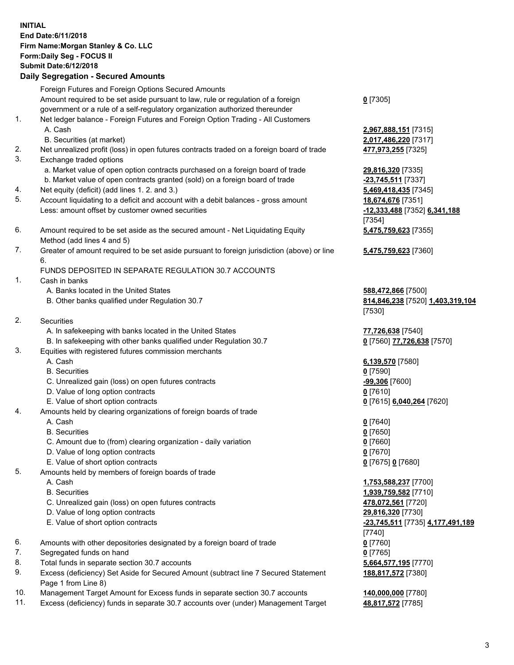## **INITIAL End Date:6/11/2018 Firm Name:Morgan Stanley & Co. LLC Form:Daily Seg - FOCUS II Submit Date:6/12/2018**

**Daily Segregation - Secured Amounts** Foreign Futures and Foreign Options Secured Amounts Amount required to be set aside pursuant to law, rule or regulation of a foreign government or a rule of a self-regulatory organization authorized thereunder 1. Net ledger balance - Foreign Futures and Foreign Option Trading - All Customers A. Cash **2,967,888,151** [7315] B. Securities (at market) **2,017,486,220** [7317] 2. Net unrealized profit (loss) in open futures contracts traded on a foreign board of trade **477,973,255** [7325] 3. Exchange traded options a. Market value of open option contracts purchased on a foreign board of trade **29,816,320** [7335] b. Market value of open contracts granted (sold) on a foreign board of trade **-23,745,511** [7337] 4. Net equity (deficit) (add lines 1. 2. and 3.) **5,469,418,435** [7345] 5. Account liquidating to a deficit and account with a debit balances - gross amount **18,674,676** [7351] Less: amount offset by customer owned securities **-12,333,488** [7352] **6,341,188** 6. Amount required to be set aside as the secured amount - Net Liquidating Equity Method (add lines 4 and 5) 7. Greater of amount required to be set aside pursuant to foreign jurisdiction (above) or line 6. FUNDS DEPOSITED IN SEPARATE REGULATION 30.7 ACCOUNTS 1. Cash in banks A. Banks located in the United States **588,472,866** [7500] B. Other banks qualified under Regulation 30.7 **814,846,238** [7520] **1,403,319,104**

- 2. Securities
	- A. In safekeeping with banks located in the United States **77,726,638** [7540]
	- B. In safekeeping with other banks qualified under Regulation 30.7 **0** [7560] **77,726,638** [7570]
- 3. Equities with registered futures commission merchants
	-
	-
	- C. Unrealized gain (loss) on open futures contracts **-99,306** [7600]
	- D. Value of long option contracts **0** [7610]
- E. Value of short option contracts **0** [7615] **6,040,264** [7620]
- 4. Amounts held by clearing organizations of foreign boards of trade
	-
	-
	- C. Amount due to (from) clearing organization daily variation **0** [7660]
	- D. Value of long option contracts **0** [7670]
	- E. Value of short option contracts **0** [7675] **0** [7680]
- 5. Amounts held by members of foreign boards of trade
	-
	-
	- C. Unrealized gain (loss) on open futures contracts **478,072,561** [7720]
	- D. Value of long option contracts **29,816,320** [7730]
	- E. Value of short option contracts **-23,745,511** [7735] **4,177,491,189**
- 6. Amounts with other depositories designated by a foreign board of trade **0** [7760]
- 7. Segregated funds on hand **0** [7765]
- 8. Total funds in separate section 30.7 accounts **5,664,577,195** [7770]
- 9. Excess (deficiency) Set Aside for Secured Amount (subtract line 7 Secured Statement Page 1 from Line 8)
- 10. Management Target Amount for Excess funds in separate section 30.7 accounts **140,000,000** [7780]
- 11. Excess (deficiency) funds in separate 30.7 accounts over (under) Management Target **48,817,572** [7785]

**0** [7305]

[7354] **5,475,759,623** [7355]

**5,475,759,623** [7360]

[7530]

 A. Cash **6,139,570** [7580] B. Securities **0** [7590]

 A. Cash **0** [7640] B. Securities **0** [7650]

 A. Cash **1,753,588,237** [7700] B. Securities **1,939,759,582** [7710] [7740] **188,817,572** [7380]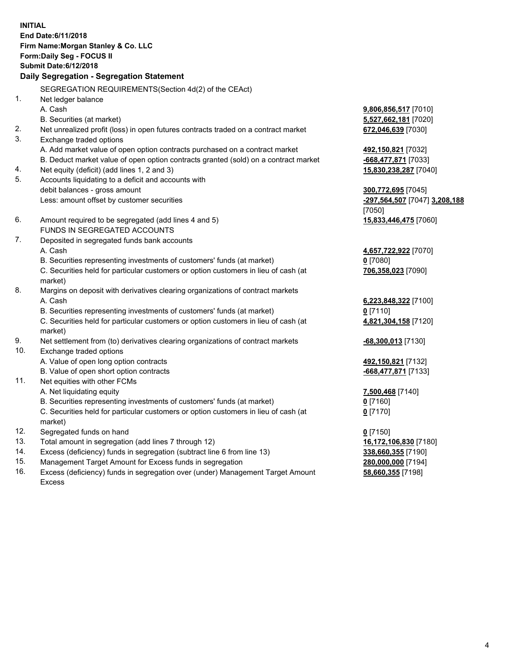**INITIAL End Date:6/11/2018 Firm Name:Morgan Stanley & Co. LLC Form:Daily Seg - FOCUS II Submit Date:6/12/2018 Daily Segregation - Segregation Statement** SEGREGATION REQUIREMENTS(Section 4d(2) of the CEAct) 1. Net ledger balance A. Cash **9,806,856,517** [7010] B. Securities (at market) **5,527,662,181** [7020] 2. Net unrealized profit (loss) in open futures contracts traded on a contract market **672,046,639** [7030] 3. Exchange traded options A. Add market value of open option contracts purchased on a contract market **492,150,821** [7032] B. Deduct market value of open option contracts granted (sold) on a contract market **-668,477,871** [7033] 4. Net equity (deficit) (add lines 1, 2 and 3) **15,830,238,287** [7040] 5. Accounts liquidating to a deficit and accounts with debit balances - gross amount **300,772,695** [7045] Less: amount offset by customer securities **-297,564,507** [7047] **3,208,188** [7050] 6. Amount required to be segregated (add lines 4 and 5) **15,833,446,475** [7060] FUNDS IN SEGREGATED ACCOUNTS 7. Deposited in segregated funds bank accounts A. Cash **4,657,722,922** [7070] B. Securities representing investments of customers' funds (at market) **0** [7080] C. Securities held for particular customers or option customers in lieu of cash (at market) **706,358,023** [7090] 8. Margins on deposit with derivatives clearing organizations of contract markets A. Cash **6,223,848,322** [7100] B. Securities representing investments of customers' funds (at market) **0** [7110] C. Securities held for particular customers or option customers in lieu of cash (at market) **4,821,304,158** [7120] 9. Net settlement from (to) derivatives clearing organizations of contract markets **-68,300,013** [7130] 10. Exchange traded options A. Value of open long option contracts **492,150,821** [7132] B. Value of open short option contracts **-668,477,871** [7133] 11. Net equities with other FCMs A. Net liquidating equity **7,500,468** [7140] B. Securities representing investments of customers' funds (at market) **0** [7160] C. Securities held for particular customers or option customers in lieu of cash (at market) **0** [7170] 12. Segregated funds on hand **0** [7150] 13. Total amount in segregation (add lines 7 through 12) **16,172,106,830** [7180] 14. Excess (deficiency) funds in segregation (subtract line 6 from line 13) **338,660,355** [7190]

- 15. Management Target Amount for Excess funds in segregation **280,000,000** [7194]
- 16. Excess (deficiency) funds in segregation over (under) Management Target Amount Excess

**58,660,355** [7198]